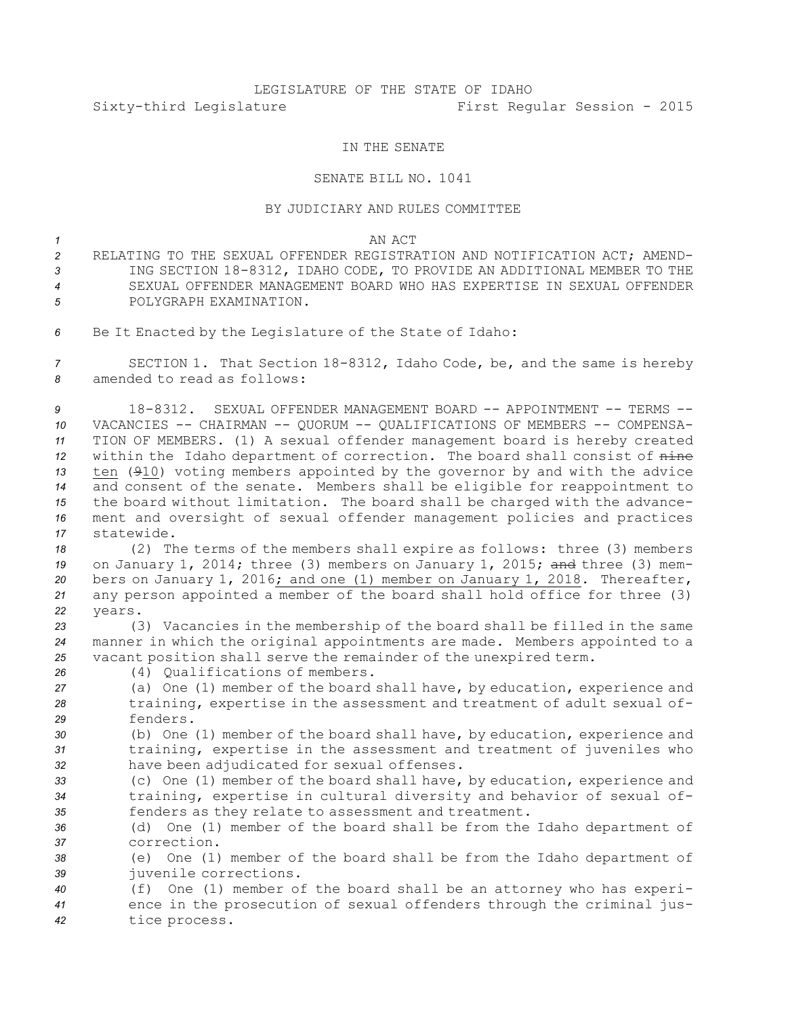# LEGISLATURE OF THE STATE OF IDAHO Sixty-third Legislature First Regular Session - 2015

## IN THE SENATE

## SENATE BILL NO. 1041

## BY JUDICIARY AND RULES COMMITTEE

#### *1* AN ACT

- *2* RELATING TO THE SEXUAL OFFENDER REGISTRATION AND NOTIFICATION ACT; AMEND-*<sup>3</sup>* ING SECTION 18-8312, IDAHO CODE, TO PROVIDE AN ADDITIONAL MEMBER TO THE *4* SEXUAL OFFENDER MANAGEMENT BOARD WHO HAS EXPERTISE IN SEXUAL OFFENDER *5* POLYGRAPH EXAMINATION.
- *<sup>6</sup>* Be It Enacted by the Legislature of the State of Idaho:

*<sup>7</sup>* SECTION 1. That Section 18-8312, Idaho Code, be, and the same is hereby *8* amended to read as follows:

 18-8312. SEXUAL OFFENDER MANAGEMENT BOARD -- APPOINTMENT -- TERMS -- VACANCIES -- CHAIRMAN -- QUORUM -- QUALIFICATIONS OF MEMBERS -- COMPENSA- TION OF MEMBERS. (1) <sup>A</sup> sexual offender management board is hereby created within the Idaho department of correction. The board shall consist of nine ten (910) voting members appointed by the governor by and with the advice and consent of the senate. Members shall be eligible for reappointment to the board without limitation. The board shall be charged with the advance- ment and oversight of sexual offender management policies and practices statewide.

 (2) The terms of the members shall expire as follows: three (3) members on January 1, 2014; three (3) members on January 1, 2015; and three (3) mem- bers on January 1, 2016; and one (1) member on January 1, 2018. Thereafter, any person appointed <sup>a</sup> member of the board shall hold office for three (3) *22* years.

*<sup>23</sup>* (3) Vacancies in the membership of the board shall be filled in the same *<sup>24</sup>* manner in which the original appointments are made. Members appointed to <sup>a</sup> *<sup>25</sup>* vacant position shall serve the remainder of the unexpired term.

*26* (4) Qualifications of members.

*<sup>27</sup>* (a) One (1) member of the board shall have, by education, experience and *<sup>28</sup>* training, expertise in the assessment and treatment of adult sexual of-*29* fenders.

*<sup>30</sup>* (b) One (1) member of the board shall have, by education, experience and *<sup>31</sup>* training, expertise in the assessment and treatment of juveniles who *<sup>32</sup>* have been adjudicated for sexual offenses.

*<sup>33</sup>* (c) One (1) member of the board shall have, by education, experience and *<sup>34</sup>* training, expertise in cultural diversity and behavior of sexual of-*<sup>35</sup>* fenders as they relate to assessment and treatment.

*<sup>36</sup>* (d) One (1) member of the board shall be from the Idaho department of *37* correction.

*<sup>38</sup>* (e) One (1) member of the board shall be from the Idaho department of *<sup>39</sup>* juvenile corrections.

*<sup>40</sup>* (f) One (1) member of the board shall be an attorney who has experi-*<sup>41</sup>* ence in the prosecution of sexual offenders through the criminal jus-*<sup>42</sup>* tice process.